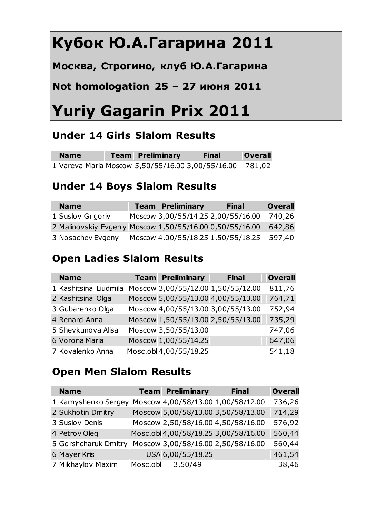# **Кубок Ю.А.Гагарина 2011**

**Москва, Строгино, клуб Ю.А.Гагарина**

# **Not homologation 25 – 27 июня 2011**

# **Yuriy Gagarin Prix 2011**

## **Under 14 Girls Slalom Results**

| <b>Name</b> | <b>Team Preliminary</b> | <b>Final</b>                                             | Overall |
|-------------|-------------------------|----------------------------------------------------------|---------|
|             |                         | 1 Vareva Maria Moscow 5,50/55/16.00 3,00/55/16.00 781,02 |         |

## **Under 14 Boys Slalom Results**

| <b>Name</b>                                              | <b>Team Preliminary</b> | <b>Final</b>                       | <b>Overall</b> |
|----------------------------------------------------------|-------------------------|------------------------------------|----------------|
| 1 Suslov Grigoriy                                        |                         | Moscow 3,00/55/14.25 2,00/55/16.00 | 740,26         |
| 2 Malinovskiy Evgeniy Moscow 1,50/55/16.00 0,50/55/16.00 |                         |                                    | 642,86         |
| 3 Nosachev Evgeny                                        |                         | Moscow 4,00/55/18.25 1,50/55/18.25 | 597,40         |

# **Open Ladies Slalom Results**

| <b>Name</b>           | <b>Team Preliminary</b>            | <b>Final</b>                       | <b>Overall</b> |
|-----------------------|------------------------------------|------------------------------------|----------------|
| 1 Kashitsina Liudmila | Moscow 3,00/55/12.00 1,50/55/12.00 |                                    | 811,76         |
| 2 Kashitsina Olga     |                                    | Moscow 5,00/55/13.00 4,00/55/13.00 | 764,71         |
| 3 Gubarenko Olga      | Moscow 4,00/55/13.00 3,00/55/13.00 |                                    | 752,94         |
| 4 Renard Anna         |                                    | Moscow 1,50/55/13.00 2,50/55/13.00 | 735,29         |
| 5 Shevkunova Alisa    | Moscow 3,50/55/13.00               |                                    | 747,06         |
| 6 Vorona Maria        | Moscow 1,00/55/14.25               |                                    | 647,06         |
| 7 Kovalenko Anna      | Mosc.obl 4,00/55/18.25             |                                    | 541,18         |

## **Open Men Slalom Results**

| <b>Name</b>          |          | <b>Team Preliminary</b> | <b>Final</b>                         | <b>Overall</b> |
|----------------------|----------|-------------------------|--------------------------------------|----------------|
| 1 Kamyshenko Sergey  |          |                         | Moscow 4,00/58/13.00 1,00/58/12.00   | 736,26         |
| 2 Sukhotin Dmitry    |          |                         | Moscow 5,00/58/13.00 3,50/58/13.00   | 714,29         |
| 3 Suslov Denis       |          |                         | Moscow 2,50/58/16.00 4,50/58/16.00   | 576,92         |
| 4 Petrov Oleg        |          |                         | Mosc.obl 4,00/58/18.25 3,00/58/16.00 | 560,44         |
| 5 Gorshcharuk Dmitry |          |                         | Moscow 3,00/58/16.00 2,50/58/16.00   | 560,44         |
| 6 Mayer Kris         |          | USA 6,00/55/18.25       |                                      | 461,54         |
| 7 Mikhaylov Maxim    | Mosc.obl | 3,50/49                 |                                      | 38,46          |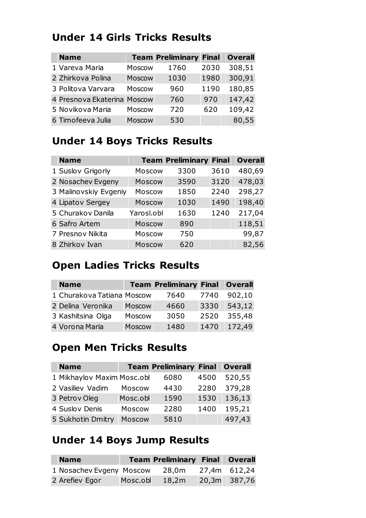#### **Under 14 Girls Tricks Results**

| <b>Name</b>                 |        | <b>Team Preliminary Final</b> |      | <b>Overall</b> |
|-----------------------------|--------|-------------------------------|------|----------------|
| 1 Vareva Maria              | Moscow | 1760                          | 2030 | 308,51         |
| 2 Zhirkova Polina           | Moscow | 1030                          | 1980 | 300,91         |
| 3 Politova Varvara          | Moscow | 960                           | 1190 | 180,85         |
| 4 Presnova Ekaterina Moscow |        | 760                           | 970  | 147,42         |
| 5 Novikova Maria            | Moscow | 720                           | 620  | 109,42         |
| 6 Timofeeva Julia           | Moscow | 530                           |      | 80,55          |

# **Under 14 Boys Tricks Results**

| <b>Name</b>           |               | <b>Team Preliminary Final</b> |      | <b>Overall</b> |
|-----------------------|---------------|-------------------------------|------|----------------|
| 1 Suslov Grigoriy     | Moscow        | 3300                          | 3610 | 480,69         |
| 2 Nosachev Evgeny     | Moscow        | 3590                          | 3120 | 478,03         |
| 3 Malinovskiy Evgeniy | Moscow        | 1850                          | 2240 | 298,27         |
| 4 Lipatov Sergey      | <b>Moscow</b> | 1030                          | 1490 | 198,40         |
| 5 Churakov Danila     | Yarosl.obl    | 1630                          | 1240 | 217,04         |
| 6 Safro Artem         | Moscow        | 890                           |      | 118,51         |
| 7 Presnov Nikita      | Moscow        | 750                           |      | 99,87          |
| 8 Zhirkov Ivan        | Moscow        | 620                           |      | 82,56          |

#### **Open Ladies Tricks Results**

| <b>Name</b>                |        | <b>Team Preliminary Final Overall</b> |      |        |
|----------------------------|--------|---------------------------------------|------|--------|
| 1 Churakova Tatiana Moscow |        | 7640                                  | 7740 | 902,10 |
| 2 Delina Veronika          | Moscow | 4660                                  | 3330 | 543,12 |
| 3 Kashitsina Olga          | Moscow | 3050                                  | 2520 | 355,48 |
| 4 Vorona Maria             | Moscow | 1480                                  | 1470 | 172,49 |

#### **Open Men Tricks Results**

| <b>Name</b>                |          | <b>Team Preliminary Final Overall</b> |      |        |
|----------------------------|----------|---------------------------------------|------|--------|
| 1 Mikhaylov Maxim Mosc.obl |          | 6080                                  | 4500 | 520,55 |
| 2 Vasiliev Vadim           | Moscow   | 4430                                  | 2280 | 379,28 |
| 3 Petrov Oleg              | Mosc.obl | 1590                                  | 1530 | 136,13 |
| 4 Suslov Denis             | Moscow   | 2280                                  | 1400 | 195,21 |
| 5 Sukhotin Dmitry          | Moscow   | 5810                                  |      | 497,43 |

## **Under 14 Boys Jump Results**

| <b>Name</b>              |          | <b>Team Preliminary Final Overall</b> |              |
|--------------------------|----------|---------------------------------------|--------------|
| 1 Nosachev Evgeny Moscow |          | 28,0m                                 | 27,4m 612,24 |
| 2 Arefiev Egor           | Mosc.obl | 18,2m                                 | 20,3m 387,76 |